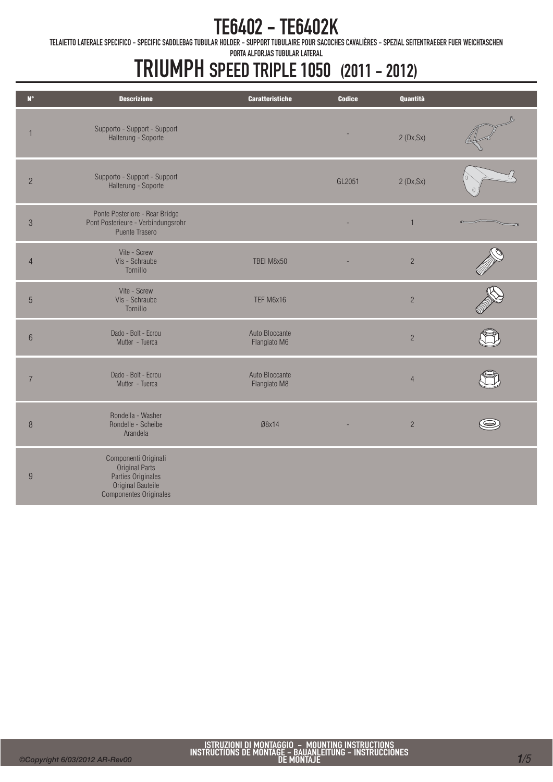TELAIETTO LATERALE SPECIFICO - SPECIFIC SADDLEBAG TUBULAR HOLDER - SUPPORT TUBULAIRE POUR SACOCHES CAVALIÈRES - SPEZIAL SEITENTRAEGER FUER WEICHTASCHEN

PORTA ALFORJAS TUBULAR LATERAL

| $\mathsf{N}^\circ$ | <b>Descrizione</b>                                                                                                        | <b>Caratteristiche</b>         | <b>Codice</b> | Quantità       |  |
|--------------------|---------------------------------------------------------------------------------------------------------------------------|--------------------------------|---------------|----------------|--|
| $\overline{1}$     | Supporto - Support - Support<br>Halterung - Soporte                                                                       |                                |               | 2(Dx, Sx)      |  |
| $\overline{2}$     | Supporto - Support - Support<br>Halterung - Soporte                                                                       |                                | GL2051        | 2(Dx, Sx)      |  |
| $\mathfrak{S}$     | Ponte Posteriore - Rear Bridge<br>Pont Posterieure - Verbindungsrohr<br>Puente Trasero                                    |                                |               | $\mathbf{1}$   |  |
| $\overline{4}$     | Vite - Screw<br>Vis - Schraube<br>Tornillo                                                                                | TBEI M8x50                     |               | $\overline{2}$ |  |
| $\overline{5}$     | Vite - Screw<br>Vis - Schraube<br>Tornillo                                                                                | TEF M6x16                      |               | $\overline{2}$ |  |
| $6\,$              | Dado - Bolt - Ecrou<br>Mutter - Tuerca                                                                                    | Auto Bloccante<br>Flangiato M6 |               | $\overline{2}$ |  |
| $\overline{7}$     | Dado - Bolt - Ecrou<br>Mutter - Tuerca                                                                                    | Auto Bloccante<br>Flangiato M8 |               | $\overline{4}$ |  |
| $\, 8$             | Rondella - Washer<br>Rondelle - Scheibe<br>Arandela                                                                       | Ø8x14                          |               | $\overline{2}$ |  |
| $9\,$              | Componenti Originali<br><b>Original Parts</b><br>Parties Originales<br>Original Bauteile<br><b>Componentes Originales</b> |                                |               |                |  |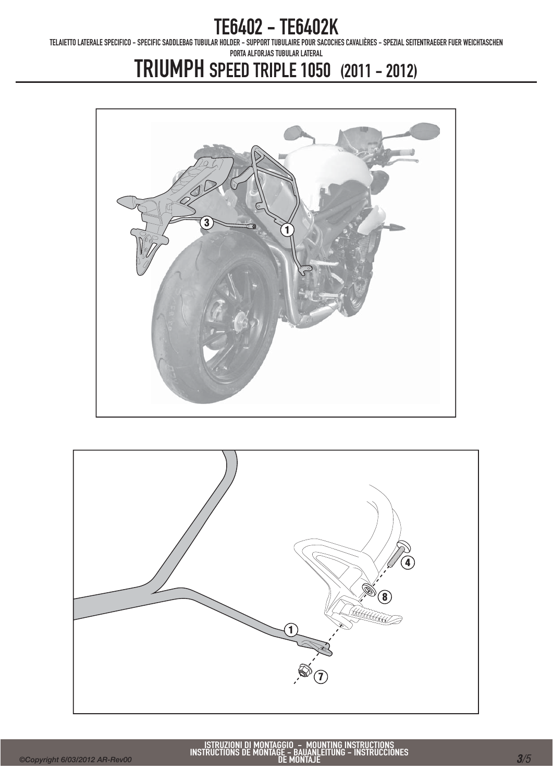TELAIETTO LATERALE SPECIFICO - SPECIFIC SADDLEBAG TUBULAR HOLDER - SUPPORT TUBULAIRE POUR SACOCHES CAVALIÈRES - SPEZIAL SEITENTRAEGER FUER WEICHTASCHEN

PORTA ALFORJAS TUBULAR LATERAL



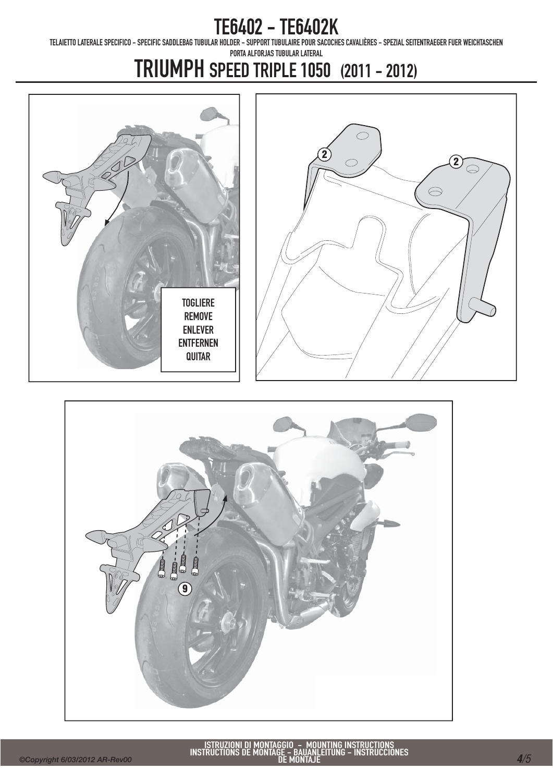TELAIETTO LATERALE SPECIFICO - SPECIFIC SADDLEBAG TUBULAR HOLDER - SUPPORT TUBULAIRE POUR SACOCHES CAVALIÈRES - SPEZIAL SEITENTRAEGER FUER WEICHTASCHEN

PORTA ALFORJAS TUBULAR LATERAL